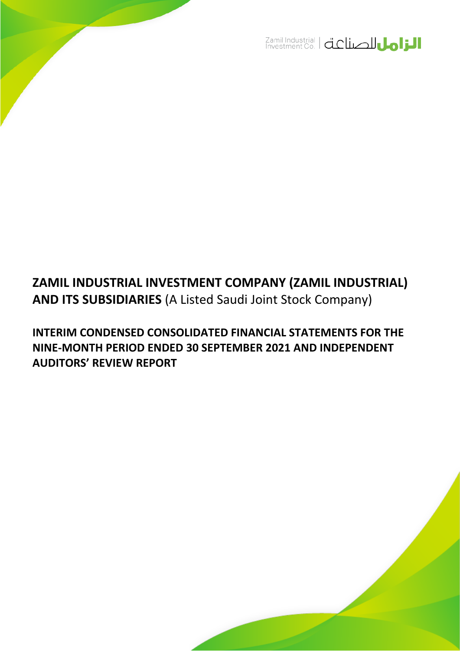

# **ZAMIL INDUSTRIAL INVESTMENT COMPANY (ZAMIL INDUSTRIAL) AND ITS SUBSIDIARIES** (A Listed Saudi Joint Stock Company)

**INTERIM CONDENSED CONSOLIDATED FINANCIAL STATEMENTS FOR THE NINE-MONTH PERIOD ENDED 30 SEPTEMBER 2021 AND INDEPENDENT AUDITORS' REVIEW REPORT**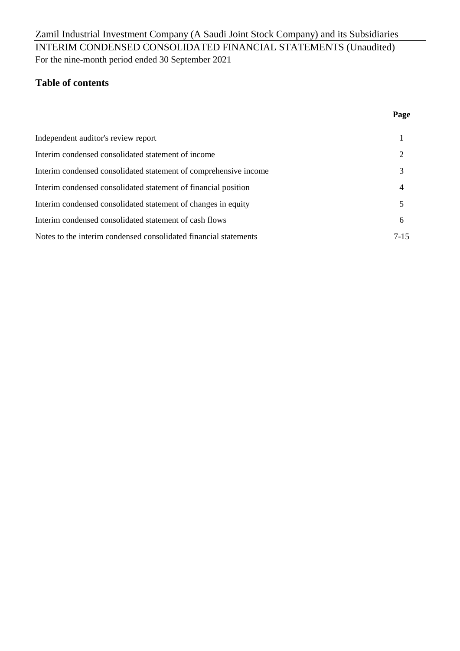## For the nine-month period ended 30 September 2021 Zamil Industrial Investment Company (A Saudi Joint Stock Company) and its Subsidiaries INTERIM CONDENSED CONSOLIDATED FINANCIAL STATEMENTS (Unaudited)

## **Table of contents**

### **Page**

| Independent auditor's review report                              |          |
|------------------------------------------------------------------|----------|
| Interim condensed consolidated statement of income               |          |
| Interim condensed consolidated statement of comprehensive income |          |
| Interim condensed consolidated statement of financial position   |          |
| Interim condensed consolidated statement of changes in equity    |          |
| Interim condensed consolidated statement of cash flows           | 6        |
| Notes to the interim condensed consolidated financial statements | $7 - 15$ |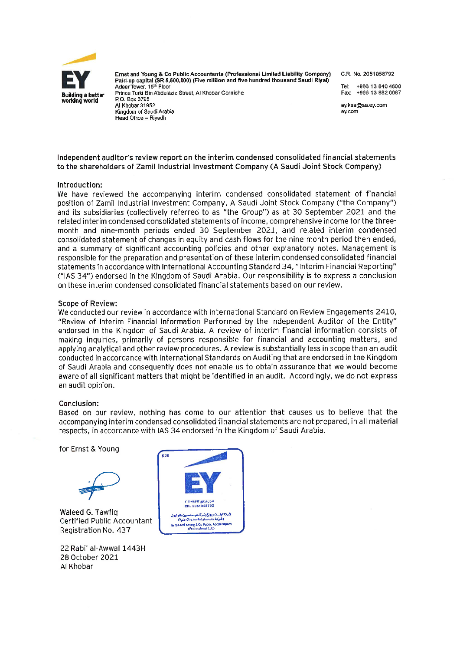

Ernst and Young & Co Public Accountants (Professional Limited Liability Company) Paid-up capital (SR 5,500,000) (Five million and five hundred thousand Saudi Riyal) Adeer Tower, 15th Floor Prince Turki Bin Abdulaziz Street, Al Khobar Corniche P.O. Box 3795 Al Khobar 31952 Kingdom of Saudi Arabia Head Office - Rivadh

C.R. No. 2051058792

+966 13 840 4600 Tel: Fax: +966 13 882 0087

ev.ksa@sa.ev.com ev.com

Independent auditor's review report on the interim condensed consolidated financial statements to the shareholders of Zamil Industrial Investment Company (A Saudi Joint Stock Company)

#### Introduction:

We have reviewed the accompanying interim condensed consolidated statement of financial position of Zamil Industrial Investment Company, A Saudi Joint Stock Company ("the Company") and its subsidiaries (collectively referred to as "the Group") as at 30 September 2021 and the related interim condensed consolidated statements of income, comprehensive income for the threemonth and nine-month periods ended 30 September 2021, and related interim condensed consolidated statement of changes in equity and cash flows for the nine-month period then ended, and a summary of significant accounting policies and other explanatory notes. Management is responsible for the preparation and presentation of these interim condensed consolidated financial statements in accordance with International Accounting Standard 34, "Interim Financial Reporting" ("IAS 34") endorsed in the Kingdom of Saudi Arabia. Our responsibility is to express a conclusion on these interim condensed consolidated financial statements based on our review.

#### **Scope of Review:**

We conducted our review in accordance with International Standard on Review Engagements 2410, "Review of Interim Financial Information Performed by the Independent Auditor of the Entity" endorsed in the Kingdom of Saudi Arabia. A review of interim financial information consists of making inquiries, primarily of persons responsible for financial and accounting matters, and applying analytical and other review procedures. A review is substantially less in scope than an audit conducted in accordance with International Standards on Auditing that are endorsed in the Kingdom of Saudi Arabia and consequently does not enable us to obtain assurance that we would become aware of all significant matters that might be identified in an audit. Accordingly, we do not express an audit opinion.

#### Conclusion:

Based on our review, nothing has come to our attention that causes us to believe that the accompanying interim condensed consolidated financial statements are not prepared, in all material respects, in accordance with IAS 34 endorsed in the Kingdom of Saudi Arabia.

for Ernst & Young



Waleed G. Tawfig Certified Public Accountant Registration No. 437

22 Rabi' al-Awwal 1443H 28 October 2021 Al Khobar

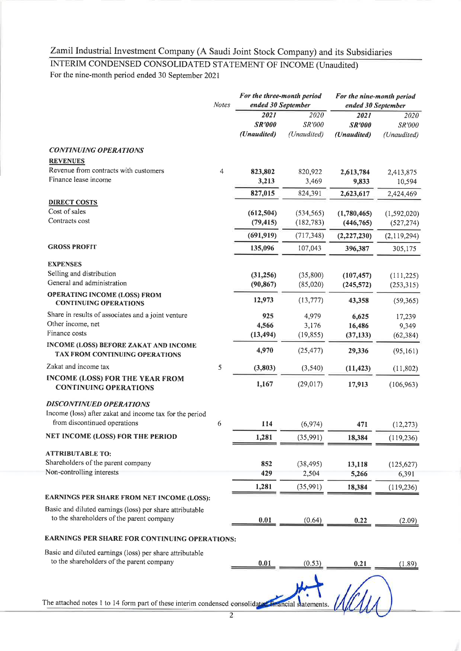# INTERIM CONDENSED CONSOLIDATED STATEMENT OF INCOME (Unaudited)

For the nine-month period ended 30 September 2021

|                                                                                | <b>Notes</b>   | For the three-month period<br>ended 30 September |                               | For the nine-month period<br>ended 30 September |                               |  |
|--------------------------------------------------------------------------------|----------------|--------------------------------------------------|-------------------------------|-------------------------------------------------|-------------------------------|--|
|                                                                                |                | 2021<br><b>SR'000</b><br>(Unaudited)             | 2020<br>SR'000<br>(Unaudited) | 2021<br><b>SR'000</b><br>(Unaudited)            | 2020<br>SR'000<br>(Unaudited) |  |
| <b>CONTINUING OPERATIONS</b>                                                   |                |                                                  |                               |                                                 |                               |  |
| <b>REVENUES</b>                                                                |                |                                                  |                               |                                                 |                               |  |
| Revenue from contracts with customers<br>Finance lease income                  | $\overline{4}$ | 823,802<br>3,213                                 | 820,922<br>3,469              | 2,613,784<br>9,833                              | 2,413,875<br>10,594           |  |
|                                                                                |                | 827,015                                          | 824,391                       |                                                 |                               |  |
| <b>DIRECT COSTS</b>                                                            |                |                                                  |                               | 2,623,617                                       | 2,424,469                     |  |
| Cost of sales                                                                  |                | (612, 504)                                       | (534, 565)                    | (1,780,465)                                     | (1, 592, 020)                 |  |
| Contracts cost                                                                 |                | (79, 415)                                        | (182, 783)                    | (446, 765)                                      | (527, 274)                    |  |
|                                                                                |                | (691, 919)                                       | (717, 348)                    | (2, 227, 230)                                   | (2,119,294)                   |  |
| <b>GROSS PROFIT</b>                                                            |                | 135,096                                          | 107,043                       | 396,387                                         | 305,175                       |  |
| <b>EXPENSES</b>                                                                |                |                                                  |                               |                                                 |                               |  |
| Selling and distribution                                                       |                | (31,256)                                         | (35,800)                      | (107, 457)                                      | (111, 225)                    |  |
| General and administration                                                     |                | (90, 867)                                        | (85,020)                      | (245, 572)                                      | (253, 315)                    |  |
| <b>OPERATING INCOME (LOSS) FROM</b><br><b>CONTINUING OPERATIONS</b>            |                | 12,973                                           | (13, 777)                     | 43,358                                          | (59, 365)                     |  |
| Share in results of associates and a joint venture                             |                | 925                                              | 4,979                         | 6,625                                           | 17,239                        |  |
| Other income, net                                                              |                | 4,566                                            | 3,176                         | 16,486                                          | 9,349                         |  |
| Finance costs                                                                  |                | (13, 494)                                        | (19, 855)                     | (37, 133)                                       | (62, 384)                     |  |
| <b>INCOME (LOSS) BEFORE ZAKAT AND INCOME</b><br>TAX FROM CONTINUING OPERATIONS |                | 4,970                                            | (25, 477)                     | 29,336                                          | (95, 161)                     |  |
| Zakat and income tax                                                           | 5              | (3, 803)                                         | (3,540)                       | (11, 423)                                       | (11, 802)                     |  |
| <b>INCOME (LOSS) FOR THE YEAR FROM</b><br><b>CONTINUING OPERATIONS</b>         |                | 1,167                                            | (29, 017)                     | 17,913                                          | (106, 963)                    |  |
| <b>DISCONTINUED OPERATIONS</b>                                                 |                |                                                  |                               |                                                 |                               |  |
| Income (loss) after zakat and income tax for the period                        |                |                                                  |                               |                                                 |                               |  |
| from discontinued operations                                                   | 6              | 114                                              | (6, 974)                      | 471                                             | (12, 273)                     |  |
| NET INCOME (LOSS) FOR THE PERIOD                                               |                | 1,281                                            | (35,991)                      | 18,384                                          | (119.236)                     |  |
| <b>ATTRIBUTABLE TO:</b>                                                        |                |                                                  |                               |                                                 |                               |  |
| Shareholders of the parent company                                             |                | 852                                              | (38, 495)                     | 13,118                                          | (125, 627)                    |  |
| Non-controlling interests                                                      |                | 429                                              | 2,504                         | 5,266                                           | 6,391                         |  |
|                                                                                |                | 1,281                                            | (35,991)                      | 18,384                                          | (119, 236)                    |  |
| EARNINGS PER SHARE FROM NET INCOME (LOSS):                                     |                |                                                  |                               |                                                 |                               |  |
| Basic and diluted earnings (loss) per share attributable                       |                |                                                  |                               |                                                 |                               |  |
| to the shareholders of the parent company                                      |                | 0.01                                             | (0.64)                        | 0.22                                            | (2.09)                        |  |
| <b>EARNINGS PER SHARE FOR CONTINUING OPERATIONS:</b>                           |                |                                                  |                               |                                                 |                               |  |
| Basic and diluted earnings (loss) per share attributable                       |                |                                                  |                               |                                                 |                               |  |
| to the shareholders of the parent company                                      |                | 0.01                                             | (0.53)                        | 0.21                                            | (1.89)                        |  |
|                                                                                |                |                                                  |                               |                                                 |                               |  |
| The attached notes 1 to 14 form part of these interim condensed consolidated   |                |                                                  |                               |                                                 |                               |  |
|                                                                                | $\overline{2}$ |                                                  |                               |                                                 |                               |  |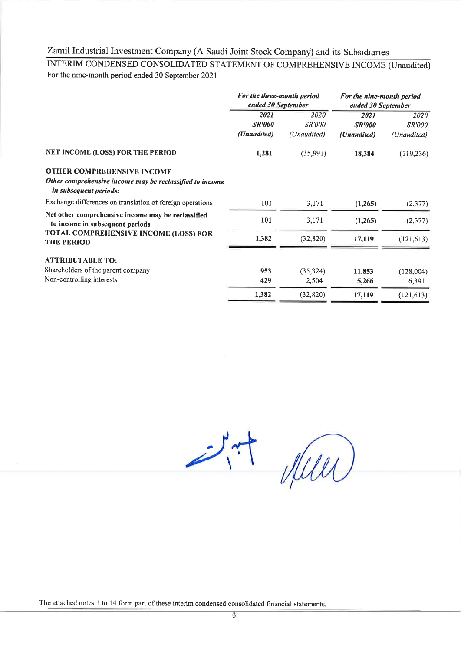INTERIM CONDENSED CONSOLIDATED STATEMENT OF COMPREHENSIVE INCOME (Unaudited) For the nine-month period ended 30 September 2021

|                                                                                           | For the three-month period<br>ended 30 September |                       | For the nine-month period<br>ended 30 September |                       |
|-------------------------------------------------------------------------------------------|--------------------------------------------------|-----------------------|-------------------------------------------------|-----------------------|
|                                                                                           | 2021<br><b>SR'000</b>                            | 2020<br><i>SR'000</i> | 2021<br><b>SR'000</b>                           | 2020<br><b>SR'000</b> |
|                                                                                           | (Unaudited)                                      | (Unaudited)           | (Unaudited)                                     | (Unaudited)           |
| NET INCOME (LOSS) FOR THE PERIOD                                                          | 1,281                                            | (35,991)              | 18,384                                          | (119, 236)            |
| OTHER COMPREHENSIVE INCOME                                                                |                                                  |                       |                                                 |                       |
| Other comprehensive income may be reclassified to income<br><i>in subsequent periods:</i> |                                                  |                       |                                                 |                       |
| Exchange differences on translation of foreign operations                                 | 101                                              | 3,171                 | (1,265)                                         | (2,377)               |
| Net other comprehensive income may be reclassified<br>to income in subsequent periods     | 101                                              | 3,171                 | (1,265)                                         | (2, 377)              |
| TOTAL COMPREHENSIVE INCOME (LOSS) FOR<br><b>THE PERIOD</b>                                | 1,382                                            | (32, 820)             | 17,119                                          | (121, 613)            |
| <b>ATTRIBUTABLE TO:</b>                                                                   |                                                  |                       |                                                 |                       |
| Shareholders of the parent company                                                        | 953                                              | (35, 324)             | 11,853                                          | (128,004)             |
| Non-controlling interests                                                                 | 429                                              | 2,504                 | 5,266                                           | 6,391                 |
|                                                                                           | 1,382                                            | (32, 820)             | 17,119                                          | (121, 613)            |

 $2.77$  years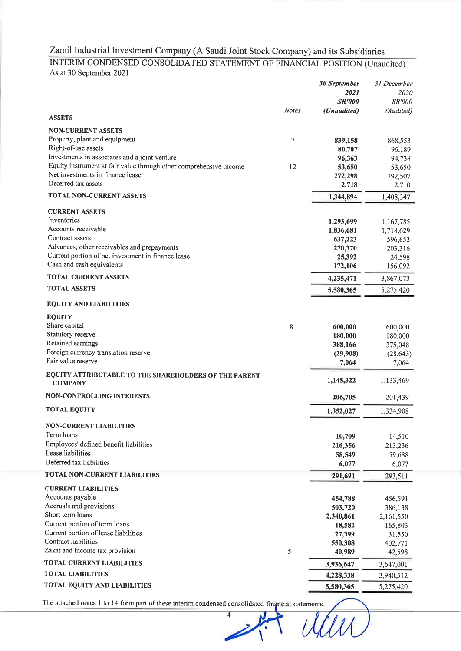### INTERIM CONDENSED CONSOLIDATED STATEMENT OF FINANCIAL POSITION (Unaudited) As at 30 September 2021

|                                                                         |              | 30 September<br>2021<br><b>SR'000</b> | 31 December<br><i>2020</i><br>SR'000 |
|-------------------------------------------------------------------------|--------------|---------------------------------------|--------------------------------------|
| <b>ASSETS</b>                                                           | <b>Notes</b> | (Unaudited)                           | (Audited)                            |
| <b>NON-CURRENT ASSETS</b>                                               |              |                                       |                                      |
| Property, plant and equipment                                           | 7            | 839,158                               | 868,553                              |
| Right-of-use assets                                                     |              | 80,707                                | 96,189                               |
| Investments in associates and a joint venture                           |              | 96,363                                | 94,738                               |
| Equity instrument at fair value through other comprehensive income      | 12           | 53,650                                | 53,650                               |
| Net investments in finance lease                                        |              | 272,298                               | 292,507                              |
| Deferred tax assets                                                     |              | 2,718                                 | 2,710                                |
| TOTAL NON-CURRENT ASSETS                                                |              | 1,344,894                             | 1,408,347                            |
| <b>CURRENT ASSETS</b>                                                   |              |                                       |                                      |
| Inventories                                                             |              | 1,293,699                             | 1,167,785                            |
| Accounts receivable                                                     |              | 1,836,681                             | 1,718,629                            |
| Contract assets                                                         |              | 637,223                               | 596,653                              |
| Advances, other receivables and prepayments                             |              | 270,370                               | 203,316                              |
| Current portion of net investment in finance lease                      |              | 25,392                                | 24,598                               |
| Cash and cash equivalents                                               |              | 172,106                               | 156,092                              |
| <b>TOTAL CURRENT ASSETS</b>                                             |              | 4,235,471                             | 3,867,073                            |
| <b>TOTAL ASSETS</b>                                                     |              | 5,580,365                             | 5,275,420                            |
| <b>EQUITY AND LIABILITIES</b>                                           |              |                                       |                                      |
| <b>EQUITY</b>                                                           |              |                                       |                                      |
| Share capital                                                           | 8            | 600,000                               | 600,000                              |
| Statutory reserve                                                       |              | 180,000                               | 180,000                              |
| Retained earnings                                                       |              | 388,166                               | 375,048                              |
| Foreign currency translation reserve                                    |              | (29,908)                              | (28, 643)                            |
| Fair value reserve                                                      |              | 7,064                                 | 7,064                                |
| EQUITY ATTRIBUTABLE TO THE SHAREHOLDERS OF THE PARENT<br><b>COMPANY</b> |              | 1,145,322                             | 1,133,469                            |
| <b>NON-CONTROLLING INTERESTS</b>                                        |              | 206,705                               | 201,439                              |
| <b>TOTAL EQUITY</b>                                                     |              | 1,352,027                             | 1,334,908                            |
| <b>NON-CURRENT LIABILITIES</b>                                          |              |                                       |                                      |
| Term loans                                                              |              |                                       |                                      |
| Employees' defined benefit liabilities                                  |              | 10,709                                | 14,510                               |
| Lease liabilities                                                       |              | 216,356                               | 213,236                              |
| Deferred tax liabilities                                                |              | 58,549<br>6,077                       | 59,688<br>6,077                      |
| <b>TOTAL NON-CURRENT LIABILITIES</b>                                    |              | 291,691                               | 293,511                              |
| <b>CURRENT LIABILITIES</b>                                              |              |                                       |                                      |
| Accounts payable                                                        |              |                                       |                                      |
| Accruals and provisions                                                 |              | 454,788<br>503,720                    | 456,591                              |
| Short term loans                                                        |              | 2,340,861                             | 386,138<br>2,161,550                 |
| Current portion of term loans                                           |              | 18,582                                | 165,803                              |
| Current portion of lease liabilities                                    |              | 27,399                                | 31,550                               |
| Contract liabilities                                                    |              | 550,308                               | 402,771                              |
| Zakat and income tax provision                                          | 5            | 40,989                                | 42,598                               |
| <b>TOTAL CURRENT LIABILITIES</b>                                        |              | 3,936,647                             | 3,647,001                            |
| <b>TOTAL LIABILITIES</b>                                                |              | 4,228,338                             | 3,940,512                            |
| <b>TOTAL EQUITY AND LIABILITIES</b>                                     |              | 5,580,365                             | 5,275,420                            |
|                                                                         |              |                                       |                                      |

 $\overline{4}$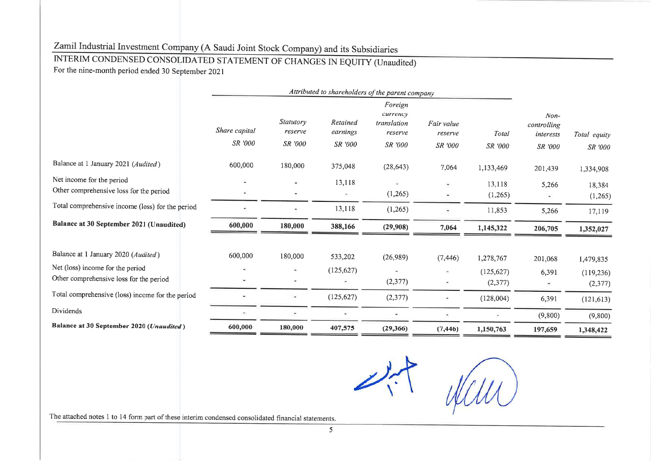# INTERIM CONDENSED CONSOLIDATED STATEMENT OF CHANGES IN EQUITY (Unaudited)

For the nine-month period ended 30 September 2021

|                                                  | Attributed to shareholders of the parent company |                       |                          |                                               |                       |                |                                    |              |
|--------------------------------------------------|--------------------------------------------------|-----------------------|--------------------------|-----------------------------------------------|-----------------------|----------------|------------------------------------|--------------|
|                                                  | Share capital<br>SR '000                         | Statutory<br>reserve  | Retained<br>earnings     | Foreign<br>currency<br>translation<br>reserve | Fair value<br>reserve | Total          | $Non-$<br>controlling<br>interests | Total equity |
|                                                  |                                                  | <b>SR</b> '000        | <b>SR</b> '000           | SR '000                                       | SR '000               | <b>SR</b> '000 | SR '000                            | SR '000      |
| Balance at 1 January 2021 (Audited)              | 600,000                                          | 180,000               | 375,048                  | (28, 643)                                     | 7,064                 | 1,133,469      | 201,439                            | 1,334,908    |
| Net income for the period                        |                                                  |                       | 13,118                   |                                               | $\bullet$             | 13,118         | 5,266                              | 18,384       |
| Other comprehensive loss for the period          |                                                  | $\ddot{}$             | $\overline{\phantom{a}}$ | (1,265)                                       |                       | (1,265)        |                                    | (1,265)      |
| Total comprehensive income (loss) for the period |                                                  | $\sim$                | 13,118                   | (1,265)                                       |                       | 11,853         | 5,266                              | 17,119       |
| Balance at 30 September 2021 (Unaudited)         | 600,000                                          | 180,000               | 388,166                  | (29,908)                                      | 7,064                 | 1,145,322      | 206,705                            | 1,352,027    |
| Balance at 1 January 2020 (Audited)              | 600,000                                          | 180,000               | 533,202                  | (26,989)                                      | (7, 446)              | 1,278,767      | 201,068                            | 1,479,835    |
| Net (loss) income for the period                 |                                                  | ٠                     | (125, 627)               |                                               |                       | (125, 627)     | 6,391                              | (119, 236)   |
| Other comprehensive loss for the period          |                                                  | $\blacksquare$        |                          | (2,377)                                       |                       | (2,377)        |                                    | (2,377)      |
| Total comprehensive (loss) income for the period |                                                  | $\tilde{\phantom{a}}$ | (125, 627)               | (2,377)                                       |                       | (128,004)      | 6,391                              | (121, 613)   |
| Dividends                                        |                                                  |                       |                          |                                               |                       |                | (9,800)                            | (9,800)      |
| Balance at 30 September 2020 (Unaudited)         | 600,000                                          | 180,000               | 407,575                  | (29, 366)                                     | (7, 446)              | 1,150,763      | 197,659                            | 1,348,422    |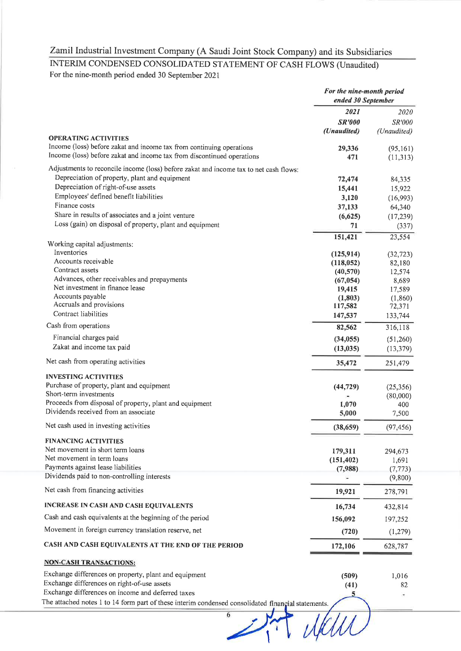# INTERIM CONDENSED CONSOLIDATED STATEMENT OF CASH FLOWS (Unaudited)

For the nine-month period ended 30 September 2021

|                                                                                                     | For the nine-month period<br>ended 30 September |             |
|-----------------------------------------------------------------------------------------------------|-------------------------------------------------|-------------|
|                                                                                                     | 2021                                            | 2020        |
|                                                                                                     | <b>SR'000</b>                                   | SR'000      |
|                                                                                                     | (Unaudited)                                     | (Unaudited) |
| <b>OPERATING ACTIVITIES</b><br>Income (loss) before zakat and income tax from continuing operations |                                                 |             |
| Income (loss) before zakat and income tax from discontinued operations                              | 29,336<br>471                                   | (95, 161)   |
|                                                                                                     |                                                 | (11,313)    |
| Adjustments to reconcile income (loss) before zakat and income tax to net cash flows:               |                                                 |             |
| Depreciation of property, plant and equipment                                                       | 72,474                                          | 84,335      |
| Depreciation of right-of-use assets                                                                 | 15,441                                          | 15,922      |
| Employees' defined benefit liabilities<br>Finance costs                                             | 3,120                                           | (16,993)    |
|                                                                                                     | 37,133                                          | 64,340      |
| Share in results of associates and a joint venture                                                  | (6,625)                                         | (17, 239)   |
| Loss (gain) on disposal of property, plant and equipment                                            | 71                                              | (337)       |
| Working capital adjustments:                                                                        | 151,421                                         | 23,554      |
| Inventories                                                                                         | (125, 914)                                      | (32, 723)   |
| Accounts receivable                                                                                 | (118,052)                                       | 82,180      |
| Contract assets                                                                                     | (40, 570)                                       | 12,574      |
| Advances, other receivables and prepayments                                                         | (67, 054)                                       | 8,689       |
| Net investment in finance lease                                                                     | 19,415                                          | 17,589      |
| Accounts payable                                                                                    | (1,803)                                         | (1,860)     |
| Accruals and provisions                                                                             | 117,582                                         | 72,371      |
| Contract liabilities                                                                                | 147,537                                         | 133,744     |
| Cash from operations                                                                                | 82,562                                          | 316,118     |
| Financial charges paid                                                                              | (34, 055)                                       | (51,260)    |
| Zakat and income tax paid                                                                           | (13, 035)                                       | (13, 379)   |
| Net cash from operating activities                                                                  | 35,472                                          | 251,479     |
| <b>INVESTING ACTIVITIES</b>                                                                         |                                                 |             |
| Purchase of property, plant and equipment                                                           | (44, 729)                                       | (25,356)    |
| Short-term investments                                                                              |                                                 | (80,000)    |
| Proceeds from disposal of property, plant and equipment                                             | 1,070                                           | 400         |
| Dividends received from an associate                                                                | 5,000                                           | 7,500       |
| Net cash used in investing activities                                                               | (38, 659)                                       | (97, 456)   |
| <b>FINANCING ACTIVITIES</b>                                                                         |                                                 |             |
| Net movement in short term loans                                                                    | 179,311                                         | 294,673     |
| Net movement in term loans                                                                          | (151, 402)                                      | 1,691       |
| Payments against lease liabilities                                                                  | (7,988)                                         | (7, 773)    |
| Dividends paid to non-controlling interests                                                         |                                                 | (9,800)     |
| Net cash from financing activities                                                                  | 19,921                                          | 278,791     |
| <b>INCREASE IN CASH AND CASH EQUIVALENTS</b>                                                        | 16,734                                          | 432,814     |
| Cash and cash equivalents at the beginning of the period                                            | 156,092                                         | 197,252     |
| Movement in foreign currency translation reserve, net                                               | (720)                                           | (1,279)     |
| CASH AND CASH EQUIVALENTS AT THE END OF THE PERIOD                                                  | 172,106                                         | 628,787     |
| <b>NON-CASH TRANSACTIONS:</b>                                                                       |                                                 |             |
| Exchange differences on property, plant and equipment                                               | (509)                                           | 1,016       |
| Exchange differences on right-of-use assets                                                         | (41)                                            | 82          |
| Exchange differences on income and deferred taxes                                                   | 5                                               |             |

 $\overline{6}$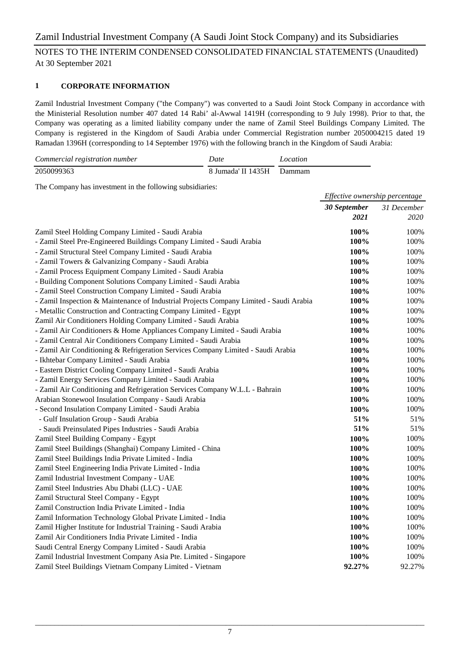#### **1 CORPORATE INFORMATION**

Zamil Industrial Investment Company ("the Company") was converted to a Saudi Joint Stock Company in accordance with the Ministerial Resolution number 407 dated 14 Rabi' al-Awwal 1419H (corresponding to 9 July 1998). Prior to that, the Company was operating as a limited liability company under the name of Zamil Steel Buildings Company Limited. The Company is registered in the Kingdom of Saudi Arabia under Commercial Registration number 2050004215 dated 19 Ramadan 1396H (corresponding to 14 September 1976) with the following branch in the Kingdom of Saudi Arabia:

| Commercial registration number | Date                      | Location |
|--------------------------------|---------------------------|----------|
| 2050099363                     | 8 Jumada' II 1435H Dammam |          |

The Company has investment in the following subsidiaries:

|                                                                                        | Effective ownership percentage |             |
|----------------------------------------------------------------------------------------|--------------------------------|-------------|
|                                                                                        | 30 September                   | 31 December |
|                                                                                        | 2021                           | 2020        |
| Zamil Steel Holding Company Limited - Saudi Arabia                                     | 100%                           | 100%        |
| - Zamil Steel Pre-Engineered Buildings Company Limited - Saudi Arabia                  | 100%                           | 100%        |
| - Zamil Structural Steel Company Limited - Saudi Arabia                                | 100%                           | 100%        |
| - Zamil Towers & Galvanizing Company - Saudi Arabia                                    | 100%                           | 100%        |
| - Zamil Process Equipment Company Limited - Saudi Arabia                               | 100%                           | 100%        |
| - Building Component Solutions Company Limited - Saudi Arabia                          | 100%                           | 100%        |
| - Zamil Steel Construction Company Limited - Saudi Arabia                              | 100%                           | 100%        |
| - Zamil Inspection & Maintenance of Industrial Projects Company Limited - Saudi Arabia | 100%                           | 100%        |
| - Metallic Construction and Contracting Company Limited - Egypt                        | 100%                           | 100%        |
| Zamil Air Conditioners Holding Company Limited - Saudi Arabia                          | 100%                           | 100%        |
| - Zamil Air Conditioners & Home Appliances Company Limited - Saudi Arabia              | 100%                           | 100%        |
| - Zamil Central Air Conditioners Company Limited - Saudi Arabia                        | 100%                           | 100%        |
| - Zamil Air Conditioning & Refrigeration Services Company Limited - Saudi Arabia       | 100%                           | 100%        |
| - Ikhtebar Company Limited - Saudi Arabia                                              | 100%                           | 100%        |
| - Eastern District Cooling Company Limited - Saudi Arabia                              | 100%                           | 100%        |
| - Zamil Energy Services Company Limited - Saudi Arabia                                 | 100%                           | 100%        |
| - Zamil Air Conditioning and Refrigeration Services Company W.L.L - Bahrain            | 100%                           | 100%        |
| Arabian Stonewool Insulation Company - Saudi Arabia                                    | 100%                           | 100%        |
| - Second Insulation Company Limited - Saudi Arabia                                     | 100%                           | 100%        |
| - Gulf Insulation Group - Saudi Arabia                                                 | 51%                            | 51%         |
| - Saudi Preinsulated Pipes Industries - Saudi Arabia                                   | 51%                            | 51%         |
| Zamil Steel Building Company - Egypt                                                   | 100%                           | 100%        |
| Zamil Steel Buildings (Shanghai) Company Limited - China                               | 100%                           | 100%        |
| Zamil Steel Buildings India Private Limited - India                                    | 100%                           | 100%        |
| Zamil Steel Engineering India Private Limited - India                                  | 100%                           | 100%        |
| Zamil Industrial Investment Company - UAE                                              | 100%                           | 100%        |
| Zamil Steel Industries Abu Dhabi (LLC) - UAE                                           | 100%                           | 100%        |
| Zamil Structural Steel Company - Egypt                                                 | 100%                           | 100%        |
| Zamil Construction India Private Limited - India                                       | 100%                           | 100%        |
| Zamil Information Technology Global Private Limited - India                            | 100%                           | 100%        |
| Zamil Higher Institute for Industrial Training - Saudi Arabia                          | 100%                           | 100%        |
| Zamil Air Conditioners India Private Limited - India                                   | 100%                           | 100%        |
| Saudi Central Energy Company Limited - Saudi Arabia                                    | 100%                           | 100%        |
| Zamil Industrial Investment Company Asia Pte. Limited - Singapore                      | 100%                           | 100%        |
| Zamil Steel Buildings Vietnam Company Limited - Vietnam                                | 92.27%                         | 92.27%      |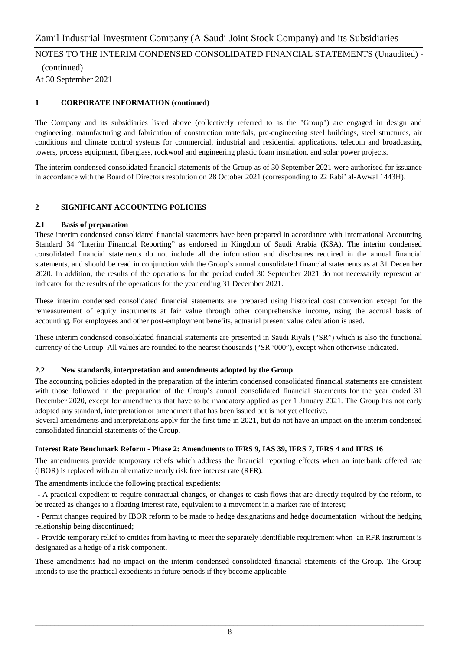(continued) At 30 September 2021

#### **1 CORPORATE INFORMATION (continued)**

The Company and its subsidiaries listed above (collectively referred to as the "Group") are engaged in design and engineering, manufacturing and fabrication of construction materials, pre-engineering steel buildings, steel structures, air conditions and climate control systems for commercial, industrial and residential applications, telecom and broadcasting towers, process equipment, fiberglass, rockwool and engineering plastic foam insulation, and solar power projects.

The interim condensed consolidated financial statements of the Group as of 30 September 2021 were authorised for issuance in accordance with the Board of Directors resolution on 28 October 2021 (corresponding to 22 Rabi' al-Awwal 1443H).

#### **2 SIGNIFICANT ACCOUNTING POLICIES**

#### **2.1 Basis of preparation**

These interim condensed consolidated financial statements have been prepared in accordance with International Accounting Standard 34 "Interim Financial Reporting" as endorsed in Kingdom of Saudi Arabia (KSA). The interim condensed consolidated financial statements do not include all the information and disclosures required in the annual financial statements, and should be read in conjunction with the Group's annual consolidated financial statements as at 31 December 2020. In addition, the results of the operations for the period ended 30 September 2021 do not necessarily represent an indicator for the results of the operations for the year ending 31 December 2021.

These interim condensed consolidated financial statements are prepared using historical cost convention except for the remeasurement of equity instruments at fair value through other comprehensive income, using the accrual basis of accounting. For employees and other post-employment benefits, actuarial present value calculation is used.

These interim condensed consolidated financial statements are presented in Saudi Riyals ("SR") which is also the functional currency of the Group. All values are rounded to the nearest thousands ("SR '000"), except when otherwise indicated.

#### **2.2 New standards, interpretation and amendments adopted by the Group**

The accounting policies adopted in the preparation of the interim condensed consolidated financial statements are consistent with those followed in the preparation of the Group's annual consolidated financial statements for the year ended 31 December 2020, except for amendments that have to be mandatory applied as per 1 January 2021. The Group has not early adopted any standard, interpretation or amendment that has been issued but is not yet effective.

Several amendments and interpretations apply for the first time in 2021, but do not have an impact on the interim condensed consolidated financial statements of the Group.

#### **Interest Rate Benchmark Reform - Phase 2: Amendments to IFRS 9, IAS 39, IFRS 7, IFRS 4 and IFRS 16**

The amendments provide temporary reliefs which address the financial reporting effects when an interbank offered rate (IBOR) is replaced with an alternative nearly risk free interest rate (RFR).

The amendments include the following practical expedients:

- A practical expedient to require contractual changes, or changes to cash flows that are directly required by the reform, to be treated as changes to a floating interest rate, equivalent to a movement in a market rate of interest;

- Permit changes required by IBOR reform to be made to hedge designations and hedge documentation without the hedging relationship being discontinued;

- Provide temporary relief to entities from having to meet the separately identifiable requirement when an RFR instrument is designated as a hedge of a risk component.

These amendments had no impact on the interim condensed consolidated financial statements of the Group. The Group intends to use the practical expedients in future periods if they become applicable.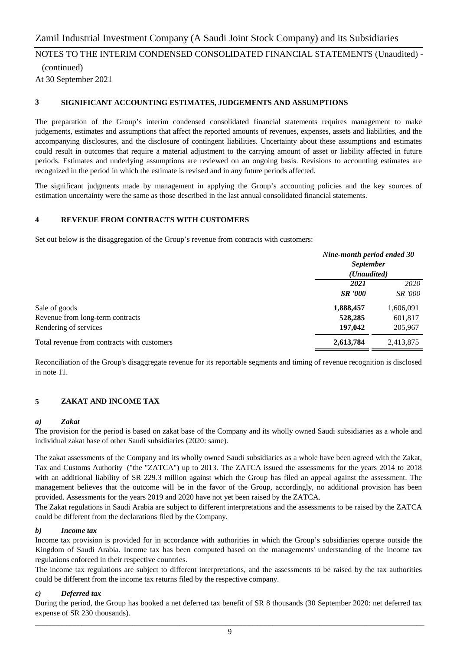(continued) At 30 September 2021

#### **3 SIGNIFICANT ACCOUNTING ESTIMATES, JUDGEMENTS AND ASSUMPTIONS**

The preparation of the Group's interim condensed consolidated financial statements requires management to make judgements, estimates and assumptions that affect the reported amounts of revenues, expenses, assets and liabilities, and the accompanying disclosures, and the disclosure of contingent liabilities. Uncertainty about these assumptions and estimates could result in outcomes that require a material adjustment to the carrying amount of asset or liability affected in future periods. Estimates and underlying assumptions are reviewed on an ongoing basis. Revisions to accounting estimates are recognized in the period in which the estimate is revised and in any future periods affected.

The significant judgments made by management in applying the Group's accounting policies and the key sources of estimation uncertainty were the same as those described in the last annual consolidated financial statements.

#### **4 REVENUE FROM CONTRACTS WITH CUSTOMERS**

Set out below is the disaggregation of the Group's revenue from contracts with customers:

|                                             | Nine-month period ended 30<br><b>September</b><br>(Unaudited) |                |
|---------------------------------------------|---------------------------------------------------------------|----------------|
|                                             | 2021                                                          | 2020           |
|                                             | <b>SR</b> '000                                                | <i>SR</i> '000 |
| Sale of goods                               | 1,888,457                                                     | 1,606,091      |
| Revenue from long-term contracts            | 528,285                                                       | 601,817        |
| Rendering of services                       | 197,042                                                       | 205,967        |
| Total revenue from contracts with customers | 2,613,784                                                     | 2,413,875      |

Reconciliation of the Group's disaggregate revenue for its reportable segments and timing of revenue recognition is disclosed in note 11.

#### **5 ZAKAT AND INCOME TAX**

#### *a) Zakat*

The provision for the period is based on zakat base of the Company and its wholly owned Saudi subsidiaries as a whole and individual zakat base of other Saudi subsidiaries (2020: same).

The zakat assessments of the Company and its wholly owned Saudi subsidiaries as a whole have been agreed with the Zakat, Tax and Customs Authority ("the "ZATCA") up to 2013. The ZATCA issued the assessments for the years 2014 to 2018 with an additional liability of SR 229.3 million against which the Group has filed an appeal against the assessment. The management believes that the outcome will be in the favor of the Group, accordingly, no additional provision has been provided. Assessments for the years 2019 and 2020 have not yet been raised by the ZATCA.

The Zakat regulations in Saudi Arabia are subject to different interpretations and the assessments to be raised by the ZATCA could be different from the declarations filed by the Company.

#### *b) Income tax*

Income tax provision is provided for in accordance with authorities in which the Group's subsidiaries operate outside the Kingdom of Saudi Arabia. Income tax has been computed based on the managements' understanding of the income tax regulations enforced in their respective countries.

The income tax regulations are subject to different interpretations, and the assessments to be raised by the tax authorities could be different from the income tax returns filed by the respective company.

#### *c) Deferred tax*

During the period, the Group has booked a net deferred tax benefit of SR 8 thousands (30 September 2020: net deferred tax expense of SR 230 thousands).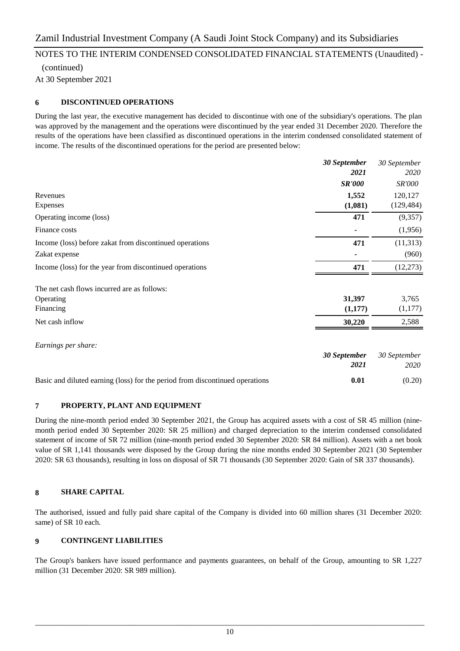(continued) At 30 September 2021

#### **6 DISCONTINUED OPERATIONS**

During the last year, the executive management has decided to discontinue with one of the subsidiary's operations. The plan was approved by the management and the operations were discontinued by the year ended 31 December 2020. Therefore the results of the operations have been classified as discontinued operations in the interim condensed consolidated statement of income. The results of the discontinued operations for the period are presented below:

|                                                                              | 30 September  | 30 September  |
|------------------------------------------------------------------------------|---------------|---------------|
|                                                                              | 2021          | 2020          |
|                                                                              | <b>SR'000</b> | <i>SR'000</i> |
| Revenues                                                                     | 1,552         | 120,127       |
| Expenses                                                                     | (1,081)       | (129, 484)    |
| Operating income (loss)                                                      | 471           | (9,357)       |
| Finance costs                                                                |               | (1,956)       |
| Income (loss) before zakat from discontinued operations                      | 471           | (11, 313)     |
| Zakat expense                                                                |               | (960)         |
| Income (loss) for the year from discontinued operations                      | 471           | (12, 273)     |
| The net cash flows incurred are as follows:                                  |               |               |
| Operating                                                                    | 31,397        | 3,765         |
| Financing                                                                    | (1,177)       | (1,177)       |
| Net cash inflow                                                              | 30,220        | 2,588         |
| Earnings per share:                                                          |               |               |
|                                                                              | 30 September  | 30 September  |
|                                                                              | 2021          | 2020          |
| Basic and diluted earning (loss) for the period from discontinued operations | 0.01          | (0.20)        |

#### **7 PROPERTY, PLANT AND EQUIPMENT**

During the nine-month period ended 30 September 2021, the Group has acquired assets with a cost of SR 45 million (ninemonth period ended 30 September 2020: SR 25 million) and charged depreciation to the interim condensed consolidated statement of income of SR 72 million (nine-month period ended 30 September 2020: SR 84 million). Assets with a net book value of SR 1,141 thousands were disposed by the Group during the nine months ended 30 September 2021 (30 September 2020: SR 63 thousands), resulting in loss on disposal of SR 71 thousands (30 September 2020: Gain of SR 337 thousands).

#### **8 SHARE CAPITAL**

The authorised, issued and fully paid share capital of the Company is divided into 60 million shares (31 December 2020: same) of SR 10 each.

#### **9 CONTINGENT LIABILITIES**

The Group's bankers have issued performance and payments guarantees, on behalf of the Group, amounting to SR 1,227 million (31 December 2020: SR 989 million).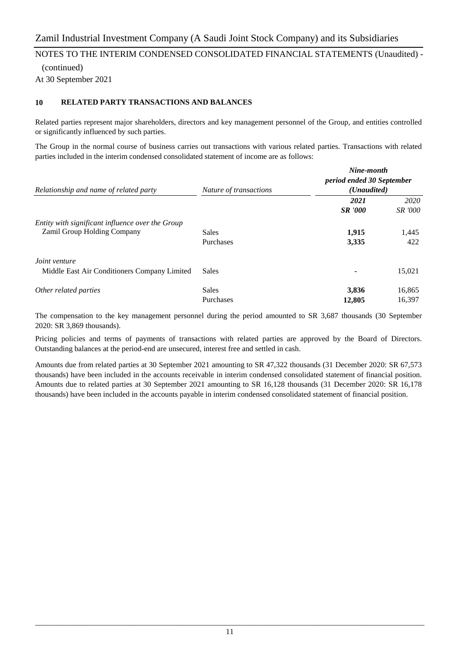(continued) At 30 September 2021

#### **10 RELATED PARTY TRANSACTIONS AND BALANCES**

Related parties represent major shareholders, directors and key management personnel of the Group, and entities controlled or significantly influenced by such parties.

The Group in the normal course of business carries out transactions with various related parties. Transactions with related parties included in the interim condensed consolidated statement of income are as follows:

| Relationship and name of related party                                                 | Nature of transactions | Nine-month<br>period ended 30 September<br>( <i>Unaudited</i> ) |                                |  |
|----------------------------------------------------------------------------------------|------------------------|-----------------------------------------------------------------|--------------------------------|--|
|                                                                                        |                        | 2021                                                            | 2020                           |  |
| Entity with significant influence over the Group<br><b>Zamil Group Holding Company</b> | Sales<br>Purchases     | <b>SR</b> '000<br>1,915<br>3,335                                | <i>SR</i> '000<br>1,445<br>422 |  |
| Joint venture<br>Middle East Air Conditioners Company Limited                          | Sales                  |                                                                 | 15,021                         |  |
| Other related parties                                                                  | Sales<br>Purchases     | 3,836<br>12,805                                                 | 16,865<br>16,397               |  |

The compensation to the key management personnel during the period amounted to SR 3,687 thousands (30 September 2020: SR 3,869 thousands).

Pricing policies and terms of payments of transactions with related parties are approved by the Board of Directors. Outstanding balances at the period-end are unsecured, interest free and settled in cash.

Amounts due from related parties at 30 September 2021 amounting to SR 47,322 thousands (31 December 2020: SR 67,573 thousands) have been included in the accounts receivable in interim condensed consolidated statement of financial position. Amounts due to related parties at 30 September 2021 amounting to SR 16,128 thousands (31 December 2020: SR 16,178 thousands) have been included in the accounts payable in interim condensed consolidated statement of financial position.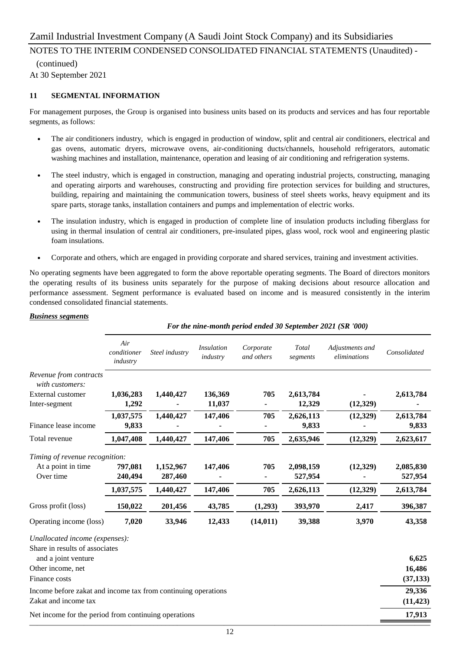### NOTES TO THE INTERIM CONDENSED CONSOLIDATED FINANCIAL STATEMENTS (Unaudited) -

 (continued) At 30 September 2021

#### **11 SEGMENTAL INFORMATION**

For management purposes, the Group is organised into business units based on its products and services and has four reportable segments, as follows:

- The air conditioners industry, which is engaged in production of window, split and central air conditioners, electrical and gas ovens, automatic dryers, microwave ovens, air-conditioning ducts/channels, household refrigerators, automatic washing machines and installation, maintenance, operation and leasing of air conditioning and refrigeration systems.
- The steel industry, which is engaged in construction, managing and operating industrial projects, constructing, managing and operating airports and warehouses, constructing and providing fire protection services for building and structures, building, repairing and maintaining the communication towers, business of steel sheets works, heavy equipment and its spare parts, storage tanks, installation containers and pumps and implementation of electric works.
- The insulation industry, which is engaged in production of complete line of insulation products including fiberglass for using in thermal insulation of central air conditioners, pre-insulated pipes, glass wool, rock wool and engineering plastic foam insulations.
- Corporate and others, which are engaged in providing corporate and shared services, training and investment activities.

No operating segments have been aggregated to form the above reportable operating segments. The Board of directors monitors the operating results of its business units separately for the purpose of making decisions about resource allocation and performance assessment. Segment performance is evaluated based on income and is measured consistently in the interim condensed consolidated financial statements.

#### *Business segments*

|                                                                  | For the nine-month period ended 30 September 2021 (SR '000) |                      |                               |                         |                      |                                 |                      |  |
|------------------------------------------------------------------|-------------------------------------------------------------|----------------------|-------------------------------|-------------------------|----------------------|---------------------------------|----------------------|--|
|                                                                  | Air<br>conditioner<br>industry                              | Steel industry       | <i>Insulation</i><br>industry | Corporate<br>and others | Total<br>segments    | Adjustments and<br>eliminations | Consolidated         |  |
| Revenue from contracts<br>with customers:                        |                                                             |                      |                               |                         |                      |                                 |                      |  |
| External customer                                                | 1,036,283                                                   | 1,440,427            | 136,369                       | 705                     | 2,613,784            |                                 | 2,613,784            |  |
| Inter-segment                                                    | 1,292                                                       |                      | 11,037                        |                         | 12,329               | (12, 329)                       |                      |  |
|                                                                  | 1,037,575                                                   | 1,440,427            | 147,406                       | 705                     | 2,626,113            | (12, 329)                       | 2,613,784            |  |
| Finance lease income                                             | 9,833                                                       |                      |                               |                         | 9,833                |                                 | 9,833                |  |
| Total revenue                                                    | 1,047,408                                                   | 1,440,427            | 147,406                       | 705                     | 2,635,946            | (12, 329)                       | 2,623,617            |  |
| Timing of revenue recognition:                                   |                                                             |                      |                               |                         |                      |                                 |                      |  |
| At a point in time<br>Over time                                  | 797,081<br>240,494                                          | 1,152,967<br>287,460 | 147,406                       | 705                     | 2,098,159<br>527,954 | (12, 329)                       | 2,085,830<br>527,954 |  |
|                                                                  | 1,037,575                                                   | 1,440,427            | 147,406                       | 705                     | 2,626,113            | (12, 329)                       | 2,613,784            |  |
| Gross profit (loss)                                              | 150,022                                                     | 201,456              | 43,785                        | (1,293)                 | 393,970              | 2,417                           | 396,387              |  |
| Operating income (loss)                                          | 7,020                                                       | 33,946               | 12,433                        | (14, 011)               | 39,388               | 3,970                           | 43,358               |  |
| Unallocated income (expenses):<br>Share in results of associates |                                                             |                      |                               |                         |                      |                                 |                      |  |
| and a joint venture                                              |                                                             |                      |                               |                         |                      |                                 | 6,625                |  |
| Other income, net                                                |                                                             |                      |                               |                         |                      |                                 | 16,486               |  |
| Finance costs                                                    |                                                             |                      |                               |                         |                      |                                 | (37, 133)            |  |
| Income before zakat and income tax from continuing operations    |                                                             |                      |                               |                         |                      |                                 | 29,336               |  |
| Zakat and income tax                                             |                                                             |                      |                               |                         |                      |                                 | (11, 423)            |  |
| Net income for the period from continuing operations             |                                                             |                      |                               |                         |                      |                                 | 17,913               |  |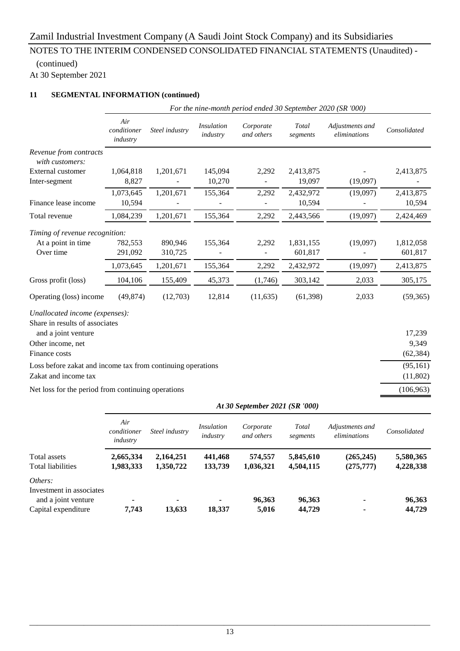## (continued)

At 30 September 2021

#### **11 SEGMENTAL INFORMATION (continued)**

|                                                                  | For the nine-month period ended 30 September 2020 (SR '000) |                |                               |                         |                   |                                 |              |  |  |
|------------------------------------------------------------------|-------------------------------------------------------------|----------------|-------------------------------|-------------------------|-------------------|---------------------------------|--------------|--|--|
|                                                                  | Air<br>conditioner<br>industry                              | Steel industry | <i>Insulation</i><br>industry | Corporate<br>and others | Total<br>segments | Adjustments and<br>eliminations | Consolidated |  |  |
| Revenue from contracts<br>with customers:                        |                                                             |                |                               |                         |                   |                                 |              |  |  |
| External customer                                                | 1,064,818                                                   | 1,201,671      | 145,094                       | 2,292                   | 2,413,875         |                                 | 2,413,875    |  |  |
| Inter-segment                                                    | 8,827                                                       |                | 10,270                        |                         | 19,097            | (19,097)                        |              |  |  |
|                                                                  | 1,073,645                                                   | 1,201,671      | 155,364                       | 2,292                   | 2,432,972         | (19,097)                        | 2,413,875    |  |  |
| Finance lease income                                             | 10,594                                                      |                |                               |                         | 10,594            |                                 | 10,594       |  |  |
| Total revenue                                                    | 1,084,239                                                   | 1,201,671      | 155,364                       | 2,292                   | 2,443,566         | (19,097)                        | 2,424,469    |  |  |
| Timing of revenue recognition:                                   |                                                             |                |                               |                         |                   |                                 |              |  |  |
| At a point in time                                               | 782,553                                                     | 890,946        | 155,364                       | 2,292                   | 1,831,155         | (19,097)                        | 1,812,058    |  |  |
| Over time                                                        | 291,092                                                     | 310,725        |                               |                         | 601,817           |                                 | 601,817      |  |  |
|                                                                  | 1,073,645                                                   | 1,201,671      | 155,364                       | 2,292                   | 2,432,972         | (19,097)                        | 2,413,875    |  |  |
| Gross profit (loss)                                              | 104,106                                                     | 155,409        | 45,373                        | (1,746)                 | 303,142           | 2,033                           | 305,175      |  |  |
| Operating (loss) income                                          | (49, 874)                                                   | (12,703)       | 12,814                        | (11, 635)               | (61, 398)         | 2,033                           | (59, 365)    |  |  |
| Unallocated income (expenses):<br>Share in results of associates |                                                             |                |                               |                         |                   |                                 |              |  |  |
| and a joint venture                                              |                                                             |                |                               |                         |                   |                                 | 17,239       |  |  |
| Other income, net                                                |                                                             |                |                               |                         |                   |                                 | 9,349        |  |  |
| Finance costs                                                    |                                                             |                |                               |                         |                   |                                 | (62, 384)    |  |  |
| Loss before zakat and income tax from continuing operations      |                                                             |                |                               |                         |                   |                                 | (95, 161)    |  |  |
| Zakat and income tax                                             |                                                             |                |                               |                         |                   |                                 | (11,802)     |  |  |
| Net loss for the period from continuing operations               |                                                             |                |                               |                         |                   |                                 | (106, 963)   |  |  |

|                          | At 30 September 2021 (SR '000) |                |                        |                         |                   |                                 |              |
|--------------------------|--------------------------------|----------------|------------------------|-------------------------|-------------------|---------------------------------|--------------|
|                          | Air<br>conditioner<br>industry | Steel industry | Insulation<br>industry | Corporate<br>and others | Total<br>segments | Adjustments and<br>eliminations | Consolidated |
| Total assets             | 2,665,334                      | 2,164,251      | 441,468                | 574,557                 | 5,845,610         | (265, 245)                      | 5,580,365    |
| Total liabilities        | 1,983,333                      | 1,350,722      | 133,739                | 1,036,321               | 4,504,115         | (275, 777)                      | 4,228,338    |
| Others:                  |                                |                |                        |                         |                   |                                 |              |
| Investment in associates |                                |                |                        |                         |                   |                                 |              |
| and a joint venture      |                                |                |                        | 96,363                  | 96,363            |                                 | 96,363       |
| Capital expenditure      | 7.743                          | 13.633         | 18,337                 | 5,016                   | 44,729            |                                 | 44,729       |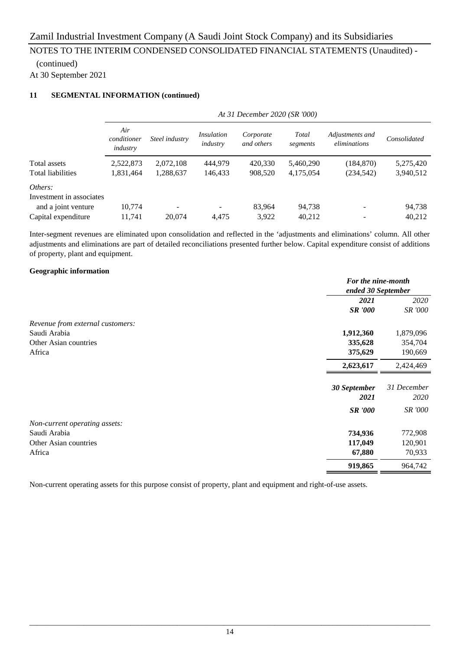# (continued)

At 30 September 2021

#### **11 SEGMENTAL INFORMATION (continued)**

|                          | At 31 December 2020 (SR '000)  |                |                               |                         |                   |                                 |              |
|--------------------------|--------------------------------|----------------|-------------------------------|-------------------------|-------------------|---------------------------------|--------------|
|                          | Air<br>conditioner<br>industry | Steel industry | <i>Insulation</i><br>industry | Corporate<br>and others | Total<br>segments | Adjustments and<br>eliminations | Consolidated |
| Total assets             | 2,522,873                      | 2,072,108      | 444,979                       | 420,330                 | 5,460,290         | (184, 870)                      | 5,275,420    |
| <b>Total liabilities</b> | 1,831,464                      | 1,288,637      | 146,433                       | 908,520                 | 4,175,054         | (234, 542)                      | 3,940,512    |
| Others:                  |                                |                |                               |                         |                   |                                 |              |
| Investment in associates |                                |                |                               |                         |                   |                                 |              |
| and a joint venture      | 10.774                         |                |                               | 83,964                  | 94.738            | $\overline{\phantom{a}}$        | 94,738       |
| Capital expenditure      | 11.741                         | 20.074         | 4.475                         | 3,922                   | 40,212            |                                 | 40,212       |

Inter-segment revenues are eliminated upon consolidation and reflected in the 'adjustments and eliminations' column. All other adjustments and eliminations are part of detailed reconciliations presented further below. Capital expenditure consist of additions of property, plant and equipment.

#### **Geographic information**

|                                  | For the nine-month<br>ended 30 September |                |  |
|----------------------------------|------------------------------------------|----------------|--|
|                                  |                                          |                |  |
|                                  | 2021                                     | 2020           |  |
|                                  | <b>SR '000</b>                           | SR '000        |  |
| Revenue from external customers: |                                          |                |  |
| Saudi Arabia                     | 1,912,360                                | 1,879,096      |  |
| Other Asian countries            | 335,628                                  | 354,704        |  |
| Africa                           | 375,629                                  | 190,669        |  |
|                                  | 2,623,617                                | 2,424,469      |  |
|                                  |                                          |                |  |
|                                  | 30 September                             | 31 December    |  |
|                                  | 2021                                     | 2020           |  |
|                                  | <b>SR</b> '000                           | <i>SR '000</i> |  |
| Non-current operating assets:    |                                          |                |  |
| Saudi Arabia                     | 734,936                                  | 772,908        |  |
| Other Asian countries            | 117,049                                  | 120,901        |  |
| Africa                           | 67,880                                   | 70,933         |  |
|                                  | 919,865                                  | 964,742        |  |

Non-current operating assets for this purpose consist of property, plant and equipment and right-of-use assets.